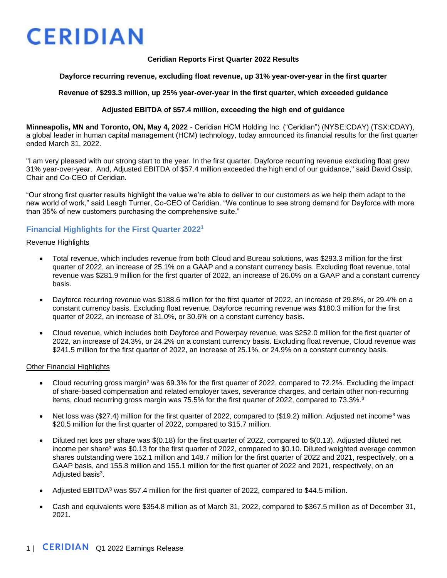#### **Ceridian Reports First Quarter 2022 Results**

#### **Dayforce recurring revenue, excluding float revenue, up 31% year-over-year in the first quarter**

#### **Revenue of \$293.3 million, up 25% year-over-year in the first quarter, which exceeded guidance**

#### **Adjusted EBITDA of \$57.4 million, exceeding the high end of guidance**

**Minneapolis, MN and Toronto, ON, May 4, 2022** - Ceridian HCM Holding Inc. ("Ceridian") (NYSE:CDAY) (TSX:CDAY), a global leader in human capital management (HCM) technology, today announced its financial results for the first quarter ended March 31, 2022.

"I am very pleased with our strong start to the year. In the first quarter, Dayforce recurring revenue excluding float grew 31% year-over-year. And, Adjusted EBITDA of \$57.4 million exceeded the high end of our guidance," said David Ossip, Chair and Co-CEO of Ceridian.

"Our strong first quarter results highlight the value we're able to deliver to our customers as we help them adapt to the new world of work," said Leagh Turner, Co-CEO of Ceridian. "We continue to see strong demand for Dayforce with more than 35% of new customers purchasing the comprehensive suite."

### **Financial Highlights for the First Quarter 2022<sup>1</sup>**

#### Revenue Highlights

- Total revenue, which includes revenue from both Cloud and Bureau solutions, was \$293.3 million for the first quarter of 2022, an increase of 25.1% on a GAAP and a constant currency basis. Excluding float revenue, total revenue was \$281.9 million for the first quarter of 2022, an increase of 26.0% on a GAAP and a constant currency basis.
- Dayforce recurring revenue was \$188.6 million for the first quarter of 2022, an increase of 29.8%, or 29.4% on a constant currency basis. Excluding float revenue, Dayforce recurring revenue was \$180.3 million for the first quarter of 2022, an increase of 31.0%, or 30.6% on a constant currency basis.
- Cloud revenue, which includes both Dayforce and Powerpay revenue, was \$252.0 million for the first quarter of 2022, an increase of 24.3%, or 24.2% on a constant currency basis. Excluding float revenue, Cloud revenue was \$241.5 million for the first quarter of 2022, an increase of 25.1%, or 24.9% on a constant currency basis.

#### Other Financial Highlights

- Cloud recurring gross margin<sup>2</sup> was 69.3% for the first quarter of 2022, compared to 72.2%. Excluding the impact of share-based compensation and related employer taxes, severance charges, and certain other non-recurring items, cloud recurring gross margin was 75.5% for the first quarter of 2022, compared to 73.3%.<sup>3</sup>
- Net loss was (\$27.4) million for the first quarter of 2022, compared to (\$19.2) million. Adjusted net income<sup>3</sup> was \$20.5 million for the first quarter of 2022, compared to \$15.7 million.
- Diluted net loss per share was \$(0.18) for the first quarter of 2022, compared to \$(0.13). Adjusted diluted net income per share<sup>3</sup> was \$0.13 for the first quarter of 2022, compared to \$0.10. Diluted weighted average common shares outstanding were 152.1 million and 148.7 million for the first quarter of 2022 and 2021, respectively, on a GAAP basis, and 155.8 million and 155.1 million for the first quarter of 2022 and 2021, respectively, on an Adjusted basis<sup>3</sup>.
- Adjusted EBITDA<sup>3</sup> was \$57.4 million for the first quarter of 2022, compared to \$44.5 million.
- Cash and equivalents were \$354.8 million as of March 31, 2022, compared to \$367.5 million as of December 31, 2021.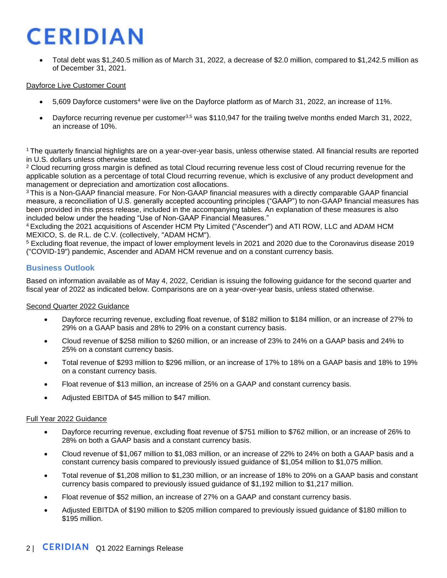• Total debt was \$1,240.5 million as of March 31, 2022, a decrease of \$2.0 million, compared to \$1,242.5 million as of December 31, 2021.

#### Dayforce Live Customer Count

- 5,609 Dayforce customers<sup>4</sup> were live on the Dayforce platform as of March 31, 2022, an increase of 11%.
- Dayforce recurring revenue per customer3,5 was \$110,947 for the trailing twelve months ended March 31, 2022, an increase of 10%.

<sup>1</sup>The quarterly financial highlights are on a year-over-year basis, unless otherwise stated. All financial results are reported in U.S. dollars unless otherwise stated.

<sup>2</sup> Cloud recurring gross margin is defined as total Cloud recurring revenue less cost of Cloud recurring revenue for the applicable solution as a percentage of total Cloud recurring revenue, which is exclusive of any product development and management or depreciation and amortization cost allocations.

<sup>3</sup>This is a Non-GAAP financial measure. For Non-GAAP financial measures with a directly comparable GAAP financial measure, a reconciliation of U.S. generally accepted accounting principles ("GAAP") to non-GAAP financial measures has been provided in this press release, included in the accompanying tables. An explanation of these measures is also included below under the heading "Use of Non-GAAP Financial Measures."

<sup>4</sup>Excluding the 2021 acquisitions of Ascender HCM Pty Limited ("Ascender") and ATI ROW, LLC and ADAM HCM MEXICO, S. de R.L. de C.V. (collectively, "ADAM HCM").

<sup>5</sup> Excluding float revenue, the impact of lower employment levels in 2021 and 2020 due to the Coronavirus disease 2019 ("COVID-19") pandemic, Ascender and ADAM HCM revenue and on a constant currency basis.

### **Business Outlook**

Based on information available as of May 4, 2022, Ceridian is issuing the following guidance for the second quarter and fiscal year of 2022 as indicated below. Comparisons are on a year-over-year basis, unless stated otherwise.

#### Second Quarter 2022 Guidance

- Dayforce recurring revenue, excluding float revenue, of \$182 million to \$184 million, or an increase of 27% to 29% on a GAAP basis and 28% to 29% on a constant currency basis.
- Cloud revenue of \$258 million to \$260 million, or an increase of 23% to 24% on a GAAP basis and 24% to 25% on a constant currency basis.
- Total revenue of \$293 million to \$296 million, or an increase of 17% to 18% on a GAAP basis and 18% to 19% on a constant currency basis.
- Float revenue of \$13 million, an increase of 25% on a GAAP and constant currency basis.
- Adjusted EBITDA of \$45 million to \$47 million.

#### Full Year 2022 Guidance

- Dayforce recurring revenue, excluding float revenue of \$751 million to \$762 million, or an increase of 26% to 28% on both a GAAP basis and a constant currency basis.
- Cloud revenue of \$1,067 million to \$1,083 million, or an increase of 22% to 24% on both a GAAP basis and a constant currency basis compared to previously issued guidance of \$1,054 million to \$1,075 million.
- Total revenue of \$1,208 million to \$1,230 million, or an increase of 18% to 20% on a GAAP basis and constant currency basis compared to previously issued guidance of \$1,192 million to \$1,217 million.
- Float revenue of \$52 million, an increase of 27% on a GAAP and constant currency basis.
- Adjusted EBITDA of \$190 million to \$205 million compared to previously issued guidance of \$180 million to \$195 million.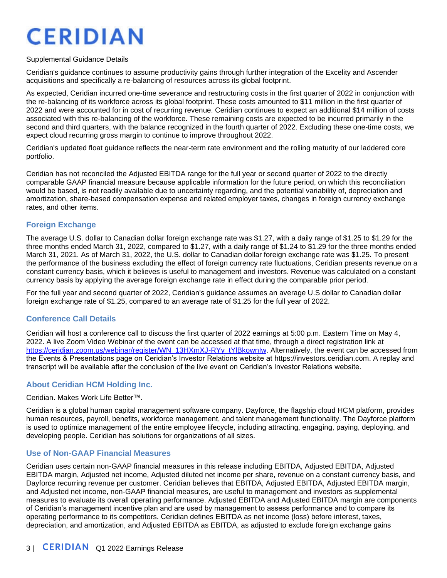#### Supplemental Guidance Details

Ceridian's guidance continues to assume productivity gains through further integration of the Excelity and Ascender acquisitions and specifically a re-balancing of resources across its global footprint.

As expected, Ceridian incurred one-time severance and restructuring costs in the first quarter of 2022 in conjunction with the re-balancing of its workforce across its global footprint. These costs amounted to \$11 million in the first quarter of 2022 and were accounted for in cost of recurring revenue. Ceridian continues to expect an additional \$14 million of costs associated with this re-balancing of the workforce. These remaining costs are expected to be incurred primarily in the second and third quarters, with the balance recognized in the fourth quarter of 2022. Excluding these one-time costs, we expect cloud recurring gross margin to continue to improve throughout 2022.

Ceridian's updated float guidance reflects the near-term rate environment and the rolling maturity of our laddered core portfolio.

Ceridian has not reconciled the Adjusted EBITDA range for the full year or second quarter of 2022 to the directly comparable GAAP financial measure because applicable information for the future period, on which this reconciliation would be based, is not readily available due to uncertainty regarding, and the potential variability of, depreciation and amortization, share-based compensation expense and related employer taxes, changes in foreign currency exchange rates, and other items.

## **Foreign Exchange**

The average U.S. dollar to Canadian dollar foreign exchange rate was \$1.27, with a daily range of \$1.25 to \$1.29 for the three months ended March 31, 2022, compared to \$1.27, with a daily range of \$1.24 to \$1.29 for the three months ended March 31, 2021. As of March 31, 2022, the U.S. dollar to Canadian dollar foreign exchange rate was \$1.25. To present the performance of the business excluding the effect of foreign currency rate fluctuations, Ceridian presents revenue on a constant currency basis, which it believes is useful to management and investors. Revenue was calculated on a constant currency basis by applying the average foreign exchange rate in effect during the comparable prior period.

For the full year and second quarter of 2022, Ceridian's guidance assumes an average U.S dollar to Canadian dollar foreign exchange rate of \$1.25, compared to an average rate of \$1.25 for the full year of 2022.

### **Conference Call Details**

Ceridian will host a conference call to discuss the first quarter of 2022 earnings at 5:00 p.m. Eastern Time on May 4, 2022. A live Zoom Video Webinar of the event can be accessed at that time, through a direct registration link at [https://ceridian.zoom.us/webinar/register/WN\\_13HXmXJ-RYy\\_tYlBkownIw.](https://ceridian.zoom.us/webinar/register/WN_13HXmXJ-RYy_tYlBkownIw) Alternatively, the event can be accessed from the Events & Presentations page on Ceridian's Investor Relations website at [https://investors.ceridian.com.](https://investors.ceridian.com/) A replay and transcript will be available after the conclusion of the live event on Ceridian's Investor Relations website.

## **About Ceridian HCM Holding Inc.**

#### Ceridian. Makes Work Life Better™.

Ceridian is a global human capital management software company. Dayforce, the flagship cloud HCM platform, provides human resources, payroll, benefits, workforce management, and talent management functionality. The Dayforce platform is used to optimize management of the entire employee lifecycle, including attracting, engaging, paying, deploying, and developing people. Ceridian has solutions for organizations of all sizes.

### **Use of Non-GAAP Financial Measures**

Ceridian uses certain non-GAAP financial measures in this release including EBITDA, Adjusted EBITDA, Adjusted EBITDA margin, Adjusted net income, Adjusted diluted net income per share, revenue on a constant currency basis, and Dayforce recurring revenue per customer. Ceridian believes that EBITDA, Adjusted EBITDA, Adjusted EBITDA margin, and Adjusted net income, non-GAAP financial measures, are useful to management and investors as supplemental measures to evaluate its overall operating performance. Adjusted EBITDA and Adjusted EBITDA margin are components of Ceridian's management incentive plan and are used by management to assess performance and to compare its operating performance to its competitors. Ceridian defines EBITDA as net income (loss) before interest, taxes, depreciation, and amortization, and Adjusted EBITDA as EBITDA, as adjusted to exclude foreign exchange gains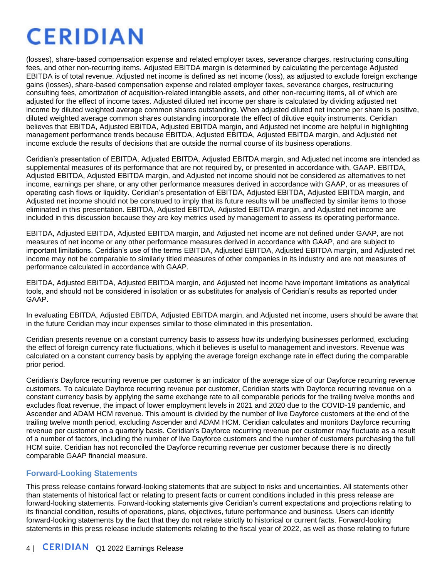(losses), share-based compensation expense and related employer taxes, severance charges, restructuring consulting fees, and other non-recurring items. Adjusted EBITDA margin is determined by calculating the percentage Adjusted EBITDA is of total revenue. Adjusted net income is defined as net income (loss), as adjusted to exclude foreign exchange gains (losses), share-based compensation expense and related employer taxes, severance charges, restructuring consulting fees, amortization of acquisition-related intangible assets, and other non-recurring items, all of which are adjusted for the effect of income taxes. Adjusted diluted net income per share is calculated by dividing adjusted net income by diluted weighted average common shares outstanding. When adjusted diluted net income per share is positive, diluted weighted average common shares outstanding incorporate the effect of dilutive equity instruments. Ceridian believes that EBITDA, Adjusted EBITDA, Adjusted EBITDA margin, and Adjusted net income are helpful in highlighting management performance trends because EBITDA, Adjusted EBITDA, Adjusted EBITDA margin, and Adjusted net income exclude the results of decisions that are outside the normal course of its business operations.

Ceridian's presentation of EBITDA, Adjusted EBITDA, Adjusted EBITDA margin, and Adjusted net income are intended as supplemental measures of its performance that are not required by, or presented in accordance with, GAAP. EBITDA, Adjusted EBITDA, Adjusted EBITDA margin, and Adjusted net income should not be considered as alternatives to net income, earnings per share, or any other performance measures derived in accordance with GAAP, or as measures of operating cash flows or liquidity. Ceridian's presentation of EBITDA, Adjusted EBITDA, Adjusted EBITDA margin, and Adjusted net income should not be construed to imply that its future results will be unaffected by similar items to those eliminated in this presentation. EBITDA, Adjusted EBITDA, Adjusted EBITDA margin, and Adjusted net income are included in this discussion because they are key metrics used by management to assess its operating performance.

EBITDA, Adjusted EBITDA, Adjusted EBITDA margin, and Adjusted net income are not defined under GAAP, are not measures of net income or any other performance measures derived in accordance with GAAP, and are subject to important limitations. Ceridian's use of the terms EBITDA, Adjusted EBITDA, Adjusted EBITDA margin, and Adjusted net income may not be comparable to similarly titled measures of other companies in its industry and are not measures of performance calculated in accordance with GAAP.

EBITDA, Adjusted EBITDA, Adjusted EBITDA margin, and Adjusted net income have important limitations as analytical tools, and should not be considered in isolation or as substitutes for analysis of Ceridian's results as reported under GAAP.

In evaluating EBITDA, Adjusted EBITDA, Adjusted EBITDA margin, and Adjusted net income, users should be aware that in the future Ceridian may incur expenses similar to those eliminated in this presentation.

Ceridian presents revenue on a constant currency basis to assess how its underlying businesses performed, excluding the effect of foreign currency rate fluctuations, which it believes is useful to management and investors. Revenue was calculated on a constant currency basis by applying the average foreign exchange rate in effect during the comparable prior period.

Ceridian's Dayforce recurring revenue per customer is an indicator of the average size of our Dayforce recurring revenue customers. To calculate Dayforce recurring revenue per customer, Ceridian starts with Dayforce recurring revenue on a constant currency basis by applying the same exchange rate to all comparable periods for the trailing twelve months and excludes float revenue, the impact of lower employment levels in 2021 and 2020 due to the COVID-19 pandemic, and Ascender and ADAM HCM revenue. This amount is divided by the number of live Dayforce customers at the end of the trailing twelve month period, excluding Ascender and ADAM HCM. Ceridian calculates and monitors Dayforce recurring revenue per customer on a quarterly basis. Ceridian's Dayforce recurring revenue per customer may fluctuate as a result of a number of factors, including the number of live Dayforce customers and the number of customers purchasing the full HCM suite. Ceridian has not reconciled the Dayforce recurring revenue per customer because there is no directly comparable GAAP financial measure.

## **Forward-Looking Statements**

This press release contains forward-looking statements that are subject to risks and uncertainties. All statements other than statements of historical fact or relating to present facts or current conditions included in this press release are forward-looking statements. Forward-looking statements give Ceridian's current expectations and projections relating to its financial condition, results of operations, plans, objectives, future performance and business. Users can identify forward-looking statements by the fact that they do not relate strictly to historical or current facts. Forward-looking statements in this press release include statements relating to the fiscal year of 2022, as well as those relating to future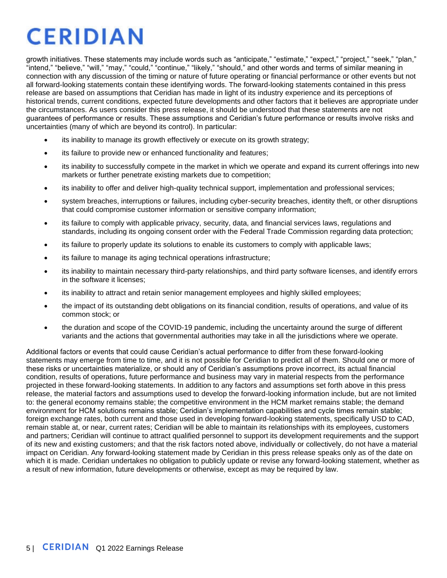growth initiatives. These statements may include words such as "anticipate," "estimate," "expect," "project," "seek," "plan," "intend," "believe," "will," "may," "could," "continue," "likely," "should," and other words and terms of similar meaning in connection with any discussion of the timing or nature of future operating or financial performance or other events but not all forward-looking statements contain these identifying words. The forward-looking statements contained in this press release are based on assumptions that Ceridian has made in light of its industry experience and its perceptions of historical trends, current conditions, expected future developments and other factors that it believes are appropriate under the circumstances. As users consider this press release, it should be understood that these statements are not guarantees of performance or results. These assumptions and Ceridian's future performance or results involve risks and uncertainties (many of which are beyond its control). In particular:

- its inability to manage its growth effectively or execute on its growth strategy;
- its failure to provide new or enhanced functionality and features;
- its inability to successfully compete in the market in which we operate and expand its current offerings into new markets or further penetrate existing markets due to competition;
- its inability to offer and deliver high-quality technical support, implementation and professional services;
- system breaches, interruptions or failures, including cyber-security breaches, identity theft, or other disruptions that could compromise customer information or sensitive company information;
- its failure to comply with applicable privacy, security, data, and financial services laws, regulations and standards, including its ongoing consent order with the Federal Trade Commission regarding data protection;
- its failure to properly update its solutions to enable its customers to comply with applicable laws;
- its failure to manage its aging technical operations infrastructure;
- its inability to maintain necessary third-party relationships, and third party software licenses, and identify errors in the software it licenses;
- its inability to attract and retain senior management employees and highly skilled employees;
- the impact of its outstanding debt obligations on its financial condition, results of operations, and value of its common stock; or
- the duration and scope of the COVID-19 pandemic, including the uncertainty around the surge of different variants and the actions that governmental authorities may take in all the jurisdictions where we operate.

Additional factors or events that could cause Ceridian's actual performance to differ from these forward-looking statements may emerge from time to time, and it is not possible for Ceridian to predict all of them. Should one or more of these risks or uncertainties materialize, or should any of Ceridian's assumptions prove incorrect, its actual financial condition, results of operations, future performance and business may vary in material respects from the performance projected in these forward-looking statements. In addition to any factors and assumptions set forth above in this press release, the material factors and assumptions used to develop the forward-looking information include, but are not limited to: the general economy remains stable; the competitive environment in the HCM market remains stable; the demand environment for HCM solutions remains stable; Ceridian's implementation capabilities and cycle times remain stable; foreign exchange rates, both current and those used in developing forward-looking statements, specifically USD to CAD, remain stable at, or near, current rates; Ceridian will be able to maintain its relationships with its employees, customers and partners; Ceridian will continue to attract qualified personnel to support its development requirements and the support of its new and existing customers; and that the risk factors noted above, individually or collectively, do not have a material impact on Ceridian. Any forward-looking statement made by Ceridian in this press release speaks only as of the date on which it is made. Ceridian undertakes no obligation to publicly update or revise any forward-looking statement, whether as a result of new information, future developments or otherwise, except as may be required by law.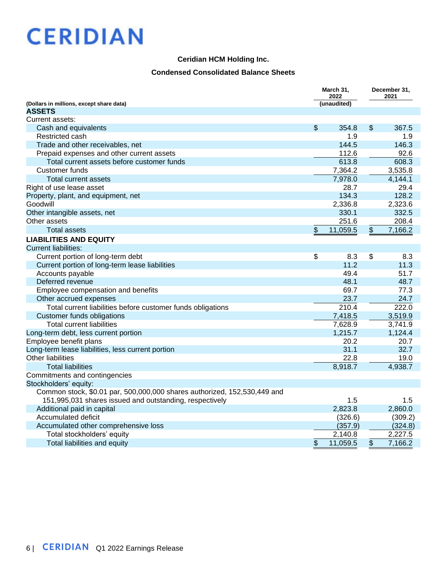#### **Ceridian HCM Holding Inc.**

### **Condensed Consolidated Balance Sheets**

|                                                                          |                           | March 31,<br>2022  |                 | December 31,<br>2021 |
|--------------------------------------------------------------------------|---------------------------|--------------------|-----------------|----------------------|
| (Dollars in millions, except share data)                                 |                           | (unaudited)        |                 |                      |
| <b>ASSETS</b>                                                            |                           |                    |                 |                      |
| Current assets:                                                          |                           |                    |                 |                      |
| Cash and equivalents                                                     | $\boldsymbol{\mathsf{S}}$ | 354.8              | $\$\$           | 367.5                |
| Restricted cash                                                          |                           | 1.9                |                 | 1.9                  |
| Trade and other receivables, net                                         |                           | 144.5              |                 | 146.3                |
| Prepaid expenses and other current assets                                |                           | 112.6              |                 | 92.6                 |
| Total current assets before customer funds                               |                           | 613.8              |                 | 608.3                |
| <b>Customer funds</b>                                                    |                           | 7,364.2            |                 | 3,535.8              |
| Total current assets                                                     |                           | 7,978.0            |                 | 4,144.1              |
| Right of use lease asset                                                 |                           | 28.7               |                 | 29.4                 |
| Property, plant, and equipment, net                                      |                           | 134.3              |                 | 128.2                |
| Goodwill                                                                 |                           | 2,336.8            |                 | 2,323.6              |
| Other intangible assets, net                                             |                           | 330.1              |                 | 332.5                |
| Other assets                                                             |                           | 251.6              |                 | 208.4                |
| <b>Total assets</b>                                                      | \$                        | 11,059.5           | \$              | 7,166.2              |
| <b>LIABILITIES AND EQUITY</b>                                            |                           |                    |                 |                      |
| <b>Current liabilities:</b>                                              |                           |                    |                 |                      |
| Current portion of long-term debt                                        | \$                        | 8.3                | \$              | 8.3                  |
| Current portion of long-term lease liabilities                           |                           | 11.2               |                 | 11.3                 |
| Accounts payable                                                         |                           | 49.4               |                 | 51.7                 |
| Deferred revenue                                                         |                           | 48.1               |                 | 48.7                 |
| Employee compensation and benefits                                       |                           | 69.7               |                 | 77.3                 |
| Other accrued expenses                                                   |                           | 23.7               |                 | 24.7                 |
| Total current liabilities before customer funds obligations              |                           | $\overline{210.4}$ |                 | 222.0                |
| <b>Customer funds obligations</b>                                        |                           | 7,418.5            |                 | 3,519.9              |
| <b>Total current liabilities</b>                                         |                           | 7,628.9            |                 | 3,741.9              |
| Long-term debt, less current portion                                     |                           | 1,215.7            |                 | 1,124.4              |
| Employee benefit plans                                                   |                           | 20.2               |                 | 20.7                 |
| Long-term lease liabilities, less current portion                        |                           | 31.1               |                 | 32.7                 |
| <b>Other liabilities</b>                                                 |                           | 22.8               |                 | 19.0                 |
| <b>Total liabilities</b>                                                 |                           | 8,918.7            |                 | 4,938.7              |
| Commitments and contingencies                                            |                           |                    |                 |                      |
| Stockholders' equity:                                                    |                           |                    |                 |                      |
| Common stock, \$0.01 par, 500,000,000 shares authorized, 152,530,449 and |                           |                    |                 |                      |
| 151,995,031 shares issued and outstanding, respectively                  |                           | 1.5                |                 | 1.5                  |
| Additional paid in capital                                               |                           | 2,823.8            |                 | 2,860.0              |
| Accumulated deficit                                                      |                           | (326.6)            |                 | (309.2)              |
| Accumulated other comprehensive loss                                     |                           | (357.9)            |                 | (324.8)              |
| Total stockholders' equity                                               |                           | 2,140.8            |                 | 2,227.5              |
| Total liabilities and equity                                             | \$                        | 11,059.5           | $\overline{\$}$ | 7,166.2              |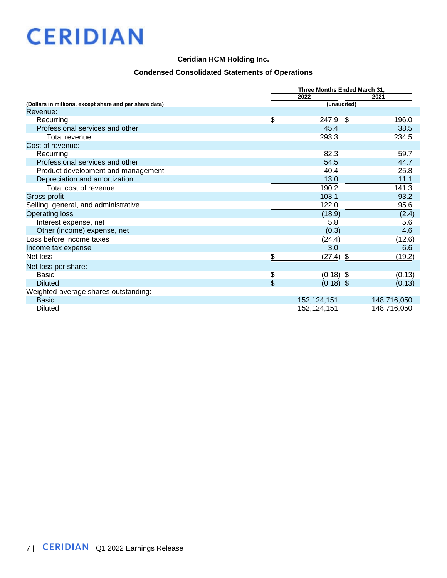## **Ceridian HCM Holding Inc.**

## **Condensed Consolidated Statements of Operations**

|                                                        | Three Months Ended March 31, |             |  |  |  |  |  |
|--------------------------------------------------------|------------------------------|-------------|--|--|--|--|--|
|                                                        | 2022                         | 2021        |  |  |  |  |  |
| (Dollars in millions, except share and per share data) | (unaudited)                  |             |  |  |  |  |  |
| Revenue:                                               |                              |             |  |  |  |  |  |
| Recurring                                              | \$<br>247.9<br>- \$          | 196.0       |  |  |  |  |  |
| Professional services and other                        | 45.4                         | 38.5        |  |  |  |  |  |
| Total revenue                                          | 293.3                        | 234.5       |  |  |  |  |  |
| Cost of revenue:                                       |                              |             |  |  |  |  |  |
| Recurring                                              | 82.3                         | 59.7        |  |  |  |  |  |
| Professional services and other                        | 54.5                         | 44.7        |  |  |  |  |  |
| Product development and management                     | 40.4                         | 25.8        |  |  |  |  |  |
| Depreciation and amortization                          | 13.0                         | 11.1        |  |  |  |  |  |
| Total cost of revenue                                  | 190.2                        | 141.3       |  |  |  |  |  |
| Gross profit                                           | 103.1                        | 93.2        |  |  |  |  |  |
| Selling, general, and administrative                   | 122.0                        | 95.6        |  |  |  |  |  |
| <b>Operating loss</b>                                  | (18.9)                       | (2.4)       |  |  |  |  |  |
| Interest expense, net                                  | 5.8                          | 5.6         |  |  |  |  |  |
| Other (income) expense, net                            | (0.3)                        | 4.6         |  |  |  |  |  |
| Loss before income taxes                               | (24.4)                       | (12.6)      |  |  |  |  |  |
| Income tax expense                                     | 3.0                          | 6.6         |  |  |  |  |  |
| Net loss                                               | \$<br>\$<br>(27.4)           | (19.2)      |  |  |  |  |  |
| Net loss per share:                                    |                              |             |  |  |  |  |  |
| <b>Basic</b>                                           | \$<br>$(0.18)$ \$            | (0.13)      |  |  |  |  |  |
| <b>Diluted</b>                                         | \$<br>$(0.18)$ \$            | (0.13)      |  |  |  |  |  |
| Weighted-average shares outstanding:                   |                              |             |  |  |  |  |  |
| <b>Basic</b>                                           | 152,124,151                  | 148,716,050 |  |  |  |  |  |
| Diluted                                                | 152,124,151                  | 148,716,050 |  |  |  |  |  |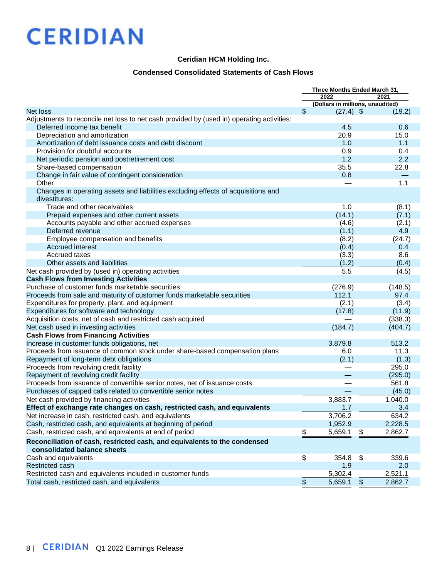#### **Ceridian HCM Holding Inc.**

### **Condensed Consolidated Statements of Cash Flows**

| 2022<br>2021<br>(Dollars in millions, unaudited)<br>\$<br><b>Net loss</b><br>$(27.4)$ \$<br>(19.2)<br>Adjustments to reconcile net loss to net cash provided by (used in) operating activities:<br>Deferred income tax benefit<br>4.5<br>0.6<br>Depreciation and amortization<br>20.9<br>15.0<br>1.0<br>1.1<br>Amortization of debt issuance costs and debt discount<br>0.9<br>0.4<br>Provision for doubtful accounts<br>2.2<br>1.2<br>Net periodic pension and postretirement cost<br>35.5<br>Share-based compensation<br>22.8<br>Change in fair value of contingent consideration<br>0.8<br>1.1<br>Other<br>Changes in operating assets and liabilities excluding effects of acquisitions and<br>divestitures:<br>Trade and other receivables<br>1.0<br>(8.1)<br>Prepaid expenses and other current assets<br>(14.1)<br>(7.1)<br>Accounts payable and other accrued expenses<br>(4.6)<br>(2.1)<br>Deferred revenue<br>4.9<br>(1.1)<br>(8.2)<br>(24.7)<br>Employee compensation and benefits<br>Accrued interest<br>(0.4)<br>0.4<br>Accrued taxes<br>(3.3)<br>8.6<br>Other assets and liabilities<br>(1.2)<br>(0.4)<br>5.5<br>(4.5)<br>Net cash provided by (used in) operating activities<br><b>Cash Flows from Investing Activities</b><br>Purchase of customer funds marketable securities<br>(276.9)<br>(148.5)<br>112.1<br>Proceeds from sale and maturity of customer funds marketable securities<br>97.4<br>(2.1)<br>(3.4)<br>Expenditures for property, plant, and equipment<br>Expenditures for software and technology<br>(17.8)<br>(11.9)<br>Acquisition costs, net of cash and restricted cash acquired<br>(338.3)<br>(184.7)<br>(404.7)<br>Net cash used in investing activities<br><b>Cash Flows from Financing Activities</b><br>Increase in customer funds obligations, net<br>3,879.8<br>513.2<br>Proceeds from issuance of common stock under share-based compensation plans<br>6.0<br>11.3<br>Repayment of long-term debt obligations<br>(2.1)<br>(1.3)<br>Proceeds from revolving credit facility<br>295.0<br>Repayment of revolving credit facility<br>(295.0)<br>Proceeds from issuance of convertible senior notes, net of issuance costs<br>561.8<br>Purchases of capped calls related to convertible senior notes<br>(45.0)<br>3,883.7<br>Net cash provided by financing activities<br>1,040.0<br>Effect of exchange rate changes on cash, restricted cash, and equivalents<br>1.7<br>3.4<br>Net increase in cash, restricted cash, and equivalents<br>3,706.2<br>634.2<br>Cash, restricted cash, and equivalents at beginning of period<br>1,952.9<br>2,228.5<br>\$<br>5,659.1<br>2,862.7<br>Cash, restricted cash, and equivalents at end of period<br>\$<br>Reconciliation of cash, restricted cash, and equivalents to the condensed<br>consolidated balance sheets<br>\$<br>Cash and equivalents<br>354.8<br>\$<br>339.6<br>Restricted cash<br>1.9<br>2.0<br>5,302.4<br>Restricted cash and equivalents included in customer funds<br>2,521.1 |                                              | Three Months Ended March 31, |         |                         |         |
|------------------------------------------------------------------------------------------------------------------------------------------------------------------------------------------------------------------------------------------------------------------------------------------------------------------------------------------------------------------------------------------------------------------------------------------------------------------------------------------------------------------------------------------------------------------------------------------------------------------------------------------------------------------------------------------------------------------------------------------------------------------------------------------------------------------------------------------------------------------------------------------------------------------------------------------------------------------------------------------------------------------------------------------------------------------------------------------------------------------------------------------------------------------------------------------------------------------------------------------------------------------------------------------------------------------------------------------------------------------------------------------------------------------------------------------------------------------------------------------------------------------------------------------------------------------------------------------------------------------------------------------------------------------------------------------------------------------------------------------------------------------------------------------------------------------------------------------------------------------------------------------------------------------------------------------------------------------------------------------------------------------------------------------------------------------------------------------------------------------------------------------------------------------------------------------------------------------------------------------------------------------------------------------------------------------------------------------------------------------------------------------------------------------------------------------------------------------------------------------------------------------------------------------------------------------------------------------------------------------------------------------------------------------------------------------------------------------------------------------------------------------------------------------------------------------------------------------------------------------------------------------------------------------------------------------------------------------------------|----------------------------------------------|------------------------------|---------|-------------------------|---------|
|                                                                                                                                                                                                                                                                                                                                                                                                                                                                                                                                                                                                                                                                                                                                                                                                                                                                                                                                                                                                                                                                                                                                                                                                                                                                                                                                                                                                                                                                                                                                                                                                                                                                                                                                                                                                                                                                                                                                                                                                                                                                                                                                                                                                                                                                                                                                                                                                                                                                                                                                                                                                                                                                                                                                                                                                                                                                                                                                                                              |                                              |                              |         |                         |         |
|                                                                                                                                                                                                                                                                                                                                                                                                                                                                                                                                                                                                                                                                                                                                                                                                                                                                                                                                                                                                                                                                                                                                                                                                                                                                                                                                                                                                                                                                                                                                                                                                                                                                                                                                                                                                                                                                                                                                                                                                                                                                                                                                                                                                                                                                                                                                                                                                                                                                                                                                                                                                                                                                                                                                                                                                                                                                                                                                                                              |                                              |                              |         |                         |         |
|                                                                                                                                                                                                                                                                                                                                                                                                                                                                                                                                                                                                                                                                                                                                                                                                                                                                                                                                                                                                                                                                                                                                                                                                                                                                                                                                                                                                                                                                                                                                                                                                                                                                                                                                                                                                                                                                                                                                                                                                                                                                                                                                                                                                                                                                                                                                                                                                                                                                                                                                                                                                                                                                                                                                                                                                                                                                                                                                                                              |                                              |                              |         |                         |         |
|                                                                                                                                                                                                                                                                                                                                                                                                                                                                                                                                                                                                                                                                                                                                                                                                                                                                                                                                                                                                                                                                                                                                                                                                                                                                                                                                                                                                                                                                                                                                                                                                                                                                                                                                                                                                                                                                                                                                                                                                                                                                                                                                                                                                                                                                                                                                                                                                                                                                                                                                                                                                                                                                                                                                                                                                                                                                                                                                                                              |                                              |                              |         |                         |         |
|                                                                                                                                                                                                                                                                                                                                                                                                                                                                                                                                                                                                                                                                                                                                                                                                                                                                                                                                                                                                                                                                                                                                                                                                                                                                                                                                                                                                                                                                                                                                                                                                                                                                                                                                                                                                                                                                                                                                                                                                                                                                                                                                                                                                                                                                                                                                                                                                                                                                                                                                                                                                                                                                                                                                                                                                                                                                                                                                                                              |                                              |                              |         |                         |         |
|                                                                                                                                                                                                                                                                                                                                                                                                                                                                                                                                                                                                                                                                                                                                                                                                                                                                                                                                                                                                                                                                                                                                                                                                                                                                                                                                                                                                                                                                                                                                                                                                                                                                                                                                                                                                                                                                                                                                                                                                                                                                                                                                                                                                                                                                                                                                                                                                                                                                                                                                                                                                                                                                                                                                                                                                                                                                                                                                                                              |                                              |                              |         |                         |         |
|                                                                                                                                                                                                                                                                                                                                                                                                                                                                                                                                                                                                                                                                                                                                                                                                                                                                                                                                                                                                                                                                                                                                                                                                                                                                                                                                                                                                                                                                                                                                                                                                                                                                                                                                                                                                                                                                                                                                                                                                                                                                                                                                                                                                                                                                                                                                                                                                                                                                                                                                                                                                                                                                                                                                                                                                                                                                                                                                                                              |                                              |                              |         |                         |         |
|                                                                                                                                                                                                                                                                                                                                                                                                                                                                                                                                                                                                                                                                                                                                                                                                                                                                                                                                                                                                                                                                                                                                                                                                                                                                                                                                                                                                                                                                                                                                                                                                                                                                                                                                                                                                                                                                                                                                                                                                                                                                                                                                                                                                                                                                                                                                                                                                                                                                                                                                                                                                                                                                                                                                                                                                                                                                                                                                                                              |                                              |                              |         |                         |         |
|                                                                                                                                                                                                                                                                                                                                                                                                                                                                                                                                                                                                                                                                                                                                                                                                                                                                                                                                                                                                                                                                                                                                                                                                                                                                                                                                                                                                                                                                                                                                                                                                                                                                                                                                                                                                                                                                                                                                                                                                                                                                                                                                                                                                                                                                                                                                                                                                                                                                                                                                                                                                                                                                                                                                                                                                                                                                                                                                                                              |                                              |                              |         |                         |         |
|                                                                                                                                                                                                                                                                                                                                                                                                                                                                                                                                                                                                                                                                                                                                                                                                                                                                                                                                                                                                                                                                                                                                                                                                                                                                                                                                                                                                                                                                                                                                                                                                                                                                                                                                                                                                                                                                                                                                                                                                                                                                                                                                                                                                                                                                                                                                                                                                                                                                                                                                                                                                                                                                                                                                                                                                                                                                                                                                                                              |                                              |                              |         |                         |         |
|                                                                                                                                                                                                                                                                                                                                                                                                                                                                                                                                                                                                                                                                                                                                                                                                                                                                                                                                                                                                                                                                                                                                                                                                                                                                                                                                                                                                                                                                                                                                                                                                                                                                                                                                                                                                                                                                                                                                                                                                                                                                                                                                                                                                                                                                                                                                                                                                                                                                                                                                                                                                                                                                                                                                                                                                                                                                                                                                                                              |                                              |                              |         |                         |         |
|                                                                                                                                                                                                                                                                                                                                                                                                                                                                                                                                                                                                                                                                                                                                                                                                                                                                                                                                                                                                                                                                                                                                                                                                                                                                                                                                                                                                                                                                                                                                                                                                                                                                                                                                                                                                                                                                                                                                                                                                                                                                                                                                                                                                                                                                                                                                                                                                                                                                                                                                                                                                                                                                                                                                                                                                                                                                                                                                                                              |                                              |                              |         |                         |         |
|                                                                                                                                                                                                                                                                                                                                                                                                                                                                                                                                                                                                                                                                                                                                                                                                                                                                                                                                                                                                                                                                                                                                                                                                                                                                                                                                                                                                                                                                                                                                                                                                                                                                                                                                                                                                                                                                                                                                                                                                                                                                                                                                                                                                                                                                                                                                                                                                                                                                                                                                                                                                                                                                                                                                                                                                                                                                                                                                                                              |                                              |                              |         |                         |         |
|                                                                                                                                                                                                                                                                                                                                                                                                                                                                                                                                                                                                                                                                                                                                                                                                                                                                                                                                                                                                                                                                                                                                                                                                                                                                                                                                                                                                                                                                                                                                                                                                                                                                                                                                                                                                                                                                                                                                                                                                                                                                                                                                                                                                                                                                                                                                                                                                                                                                                                                                                                                                                                                                                                                                                                                                                                                                                                                                                                              |                                              |                              |         |                         |         |
|                                                                                                                                                                                                                                                                                                                                                                                                                                                                                                                                                                                                                                                                                                                                                                                                                                                                                                                                                                                                                                                                                                                                                                                                                                                                                                                                                                                                                                                                                                                                                                                                                                                                                                                                                                                                                                                                                                                                                                                                                                                                                                                                                                                                                                                                                                                                                                                                                                                                                                                                                                                                                                                                                                                                                                                                                                                                                                                                                                              |                                              |                              |         |                         |         |
|                                                                                                                                                                                                                                                                                                                                                                                                                                                                                                                                                                                                                                                                                                                                                                                                                                                                                                                                                                                                                                                                                                                                                                                                                                                                                                                                                                                                                                                                                                                                                                                                                                                                                                                                                                                                                                                                                                                                                                                                                                                                                                                                                                                                                                                                                                                                                                                                                                                                                                                                                                                                                                                                                                                                                                                                                                                                                                                                                                              |                                              |                              |         |                         |         |
|                                                                                                                                                                                                                                                                                                                                                                                                                                                                                                                                                                                                                                                                                                                                                                                                                                                                                                                                                                                                                                                                                                                                                                                                                                                                                                                                                                                                                                                                                                                                                                                                                                                                                                                                                                                                                                                                                                                                                                                                                                                                                                                                                                                                                                                                                                                                                                                                                                                                                                                                                                                                                                                                                                                                                                                                                                                                                                                                                                              |                                              |                              |         |                         |         |
|                                                                                                                                                                                                                                                                                                                                                                                                                                                                                                                                                                                                                                                                                                                                                                                                                                                                                                                                                                                                                                                                                                                                                                                                                                                                                                                                                                                                                                                                                                                                                                                                                                                                                                                                                                                                                                                                                                                                                                                                                                                                                                                                                                                                                                                                                                                                                                                                                                                                                                                                                                                                                                                                                                                                                                                                                                                                                                                                                                              |                                              |                              |         |                         |         |
|                                                                                                                                                                                                                                                                                                                                                                                                                                                                                                                                                                                                                                                                                                                                                                                                                                                                                                                                                                                                                                                                                                                                                                                                                                                                                                                                                                                                                                                                                                                                                                                                                                                                                                                                                                                                                                                                                                                                                                                                                                                                                                                                                                                                                                                                                                                                                                                                                                                                                                                                                                                                                                                                                                                                                                                                                                                                                                                                                                              |                                              |                              |         |                         |         |
|                                                                                                                                                                                                                                                                                                                                                                                                                                                                                                                                                                                                                                                                                                                                                                                                                                                                                                                                                                                                                                                                                                                                                                                                                                                                                                                                                                                                                                                                                                                                                                                                                                                                                                                                                                                                                                                                                                                                                                                                                                                                                                                                                                                                                                                                                                                                                                                                                                                                                                                                                                                                                                                                                                                                                                                                                                                                                                                                                                              |                                              |                              |         |                         |         |
|                                                                                                                                                                                                                                                                                                                                                                                                                                                                                                                                                                                                                                                                                                                                                                                                                                                                                                                                                                                                                                                                                                                                                                                                                                                                                                                                                                                                                                                                                                                                                                                                                                                                                                                                                                                                                                                                                                                                                                                                                                                                                                                                                                                                                                                                                                                                                                                                                                                                                                                                                                                                                                                                                                                                                                                                                                                                                                                                                                              |                                              |                              |         |                         |         |
|                                                                                                                                                                                                                                                                                                                                                                                                                                                                                                                                                                                                                                                                                                                                                                                                                                                                                                                                                                                                                                                                                                                                                                                                                                                                                                                                                                                                                                                                                                                                                                                                                                                                                                                                                                                                                                                                                                                                                                                                                                                                                                                                                                                                                                                                                                                                                                                                                                                                                                                                                                                                                                                                                                                                                                                                                                                                                                                                                                              |                                              |                              |         |                         |         |
|                                                                                                                                                                                                                                                                                                                                                                                                                                                                                                                                                                                                                                                                                                                                                                                                                                                                                                                                                                                                                                                                                                                                                                                                                                                                                                                                                                                                                                                                                                                                                                                                                                                                                                                                                                                                                                                                                                                                                                                                                                                                                                                                                                                                                                                                                                                                                                                                                                                                                                                                                                                                                                                                                                                                                                                                                                                                                                                                                                              |                                              |                              |         |                         |         |
|                                                                                                                                                                                                                                                                                                                                                                                                                                                                                                                                                                                                                                                                                                                                                                                                                                                                                                                                                                                                                                                                                                                                                                                                                                                                                                                                                                                                                                                                                                                                                                                                                                                                                                                                                                                                                                                                                                                                                                                                                                                                                                                                                                                                                                                                                                                                                                                                                                                                                                                                                                                                                                                                                                                                                                                                                                                                                                                                                                              |                                              |                              |         |                         |         |
|                                                                                                                                                                                                                                                                                                                                                                                                                                                                                                                                                                                                                                                                                                                                                                                                                                                                                                                                                                                                                                                                                                                                                                                                                                                                                                                                                                                                                                                                                                                                                                                                                                                                                                                                                                                                                                                                                                                                                                                                                                                                                                                                                                                                                                                                                                                                                                                                                                                                                                                                                                                                                                                                                                                                                                                                                                                                                                                                                                              |                                              |                              |         |                         |         |
|                                                                                                                                                                                                                                                                                                                                                                                                                                                                                                                                                                                                                                                                                                                                                                                                                                                                                                                                                                                                                                                                                                                                                                                                                                                                                                                                                                                                                                                                                                                                                                                                                                                                                                                                                                                                                                                                                                                                                                                                                                                                                                                                                                                                                                                                                                                                                                                                                                                                                                                                                                                                                                                                                                                                                                                                                                                                                                                                                                              |                                              |                              |         |                         |         |
|                                                                                                                                                                                                                                                                                                                                                                                                                                                                                                                                                                                                                                                                                                                                                                                                                                                                                                                                                                                                                                                                                                                                                                                                                                                                                                                                                                                                                                                                                                                                                                                                                                                                                                                                                                                                                                                                                                                                                                                                                                                                                                                                                                                                                                                                                                                                                                                                                                                                                                                                                                                                                                                                                                                                                                                                                                                                                                                                                                              |                                              |                              |         |                         |         |
|                                                                                                                                                                                                                                                                                                                                                                                                                                                                                                                                                                                                                                                                                                                                                                                                                                                                                                                                                                                                                                                                                                                                                                                                                                                                                                                                                                                                                                                                                                                                                                                                                                                                                                                                                                                                                                                                                                                                                                                                                                                                                                                                                                                                                                                                                                                                                                                                                                                                                                                                                                                                                                                                                                                                                                                                                                                                                                                                                                              |                                              |                              |         |                         |         |
|                                                                                                                                                                                                                                                                                                                                                                                                                                                                                                                                                                                                                                                                                                                                                                                                                                                                                                                                                                                                                                                                                                                                                                                                                                                                                                                                                                                                                                                                                                                                                                                                                                                                                                                                                                                                                                                                                                                                                                                                                                                                                                                                                                                                                                                                                                                                                                                                                                                                                                                                                                                                                                                                                                                                                                                                                                                                                                                                                                              |                                              |                              |         |                         |         |
|                                                                                                                                                                                                                                                                                                                                                                                                                                                                                                                                                                                                                                                                                                                                                                                                                                                                                                                                                                                                                                                                                                                                                                                                                                                                                                                                                                                                                                                                                                                                                                                                                                                                                                                                                                                                                                                                                                                                                                                                                                                                                                                                                                                                                                                                                                                                                                                                                                                                                                                                                                                                                                                                                                                                                                                                                                                                                                                                                                              |                                              |                              |         |                         |         |
|                                                                                                                                                                                                                                                                                                                                                                                                                                                                                                                                                                                                                                                                                                                                                                                                                                                                                                                                                                                                                                                                                                                                                                                                                                                                                                                                                                                                                                                                                                                                                                                                                                                                                                                                                                                                                                                                                                                                                                                                                                                                                                                                                                                                                                                                                                                                                                                                                                                                                                                                                                                                                                                                                                                                                                                                                                                                                                                                                                              |                                              |                              |         |                         |         |
|                                                                                                                                                                                                                                                                                                                                                                                                                                                                                                                                                                                                                                                                                                                                                                                                                                                                                                                                                                                                                                                                                                                                                                                                                                                                                                                                                                                                                                                                                                                                                                                                                                                                                                                                                                                                                                                                                                                                                                                                                                                                                                                                                                                                                                                                                                                                                                                                                                                                                                                                                                                                                                                                                                                                                                                                                                                                                                                                                                              |                                              |                              |         |                         |         |
|                                                                                                                                                                                                                                                                                                                                                                                                                                                                                                                                                                                                                                                                                                                                                                                                                                                                                                                                                                                                                                                                                                                                                                                                                                                                                                                                                                                                                                                                                                                                                                                                                                                                                                                                                                                                                                                                                                                                                                                                                                                                                                                                                                                                                                                                                                                                                                                                                                                                                                                                                                                                                                                                                                                                                                                                                                                                                                                                                                              |                                              |                              |         |                         |         |
|                                                                                                                                                                                                                                                                                                                                                                                                                                                                                                                                                                                                                                                                                                                                                                                                                                                                                                                                                                                                                                                                                                                                                                                                                                                                                                                                                                                                                                                                                                                                                                                                                                                                                                                                                                                                                                                                                                                                                                                                                                                                                                                                                                                                                                                                                                                                                                                                                                                                                                                                                                                                                                                                                                                                                                                                                                                                                                                                                                              |                                              |                              |         |                         |         |
|                                                                                                                                                                                                                                                                                                                                                                                                                                                                                                                                                                                                                                                                                                                                                                                                                                                                                                                                                                                                                                                                                                                                                                                                                                                                                                                                                                                                                                                                                                                                                                                                                                                                                                                                                                                                                                                                                                                                                                                                                                                                                                                                                                                                                                                                                                                                                                                                                                                                                                                                                                                                                                                                                                                                                                                                                                                                                                                                                                              |                                              |                              |         |                         |         |
|                                                                                                                                                                                                                                                                                                                                                                                                                                                                                                                                                                                                                                                                                                                                                                                                                                                                                                                                                                                                                                                                                                                                                                                                                                                                                                                                                                                                                                                                                                                                                                                                                                                                                                                                                                                                                                                                                                                                                                                                                                                                                                                                                                                                                                                                                                                                                                                                                                                                                                                                                                                                                                                                                                                                                                                                                                                                                                                                                                              |                                              |                              |         |                         |         |
|                                                                                                                                                                                                                                                                                                                                                                                                                                                                                                                                                                                                                                                                                                                                                                                                                                                                                                                                                                                                                                                                                                                                                                                                                                                                                                                                                                                                                                                                                                                                                                                                                                                                                                                                                                                                                                                                                                                                                                                                                                                                                                                                                                                                                                                                                                                                                                                                                                                                                                                                                                                                                                                                                                                                                                                                                                                                                                                                                                              |                                              |                              |         |                         |         |
|                                                                                                                                                                                                                                                                                                                                                                                                                                                                                                                                                                                                                                                                                                                                                                                                                                                                                                                                                                                                                                                                                                                                                                                                                                                                                                                                                                                                                                                                                                                                                                                                                                                                                                                                                                                                                                                                                                                                                                                                                                                                                                                                                                                                                                                                                                                                                                                                                                                                                                                                                                                                                                                                                                                                                                                                                                                                                                                                                                              |                                              |                              |         |                         |         |
|                                                                                                                                                                                                                                                                                                                                                                                                                                                                                                                                                                                                                                                                                                                                                                                                                                                                                                                                                                                                                                                                                                                                                                                                                                                                                                                                                                                                                                                                                                                                                                                                                                                                                                                                                                                                                                                                                                                                                                                                                                                                                                                                                                                                                                                                                                                                                                                                                                                                                                                                                                                                                                                                                                                                                                                                                                                                                                                                                                              |                                              |                              |         |                         |         |
|                                                                                                                                                                                                                                                                                                                                                                                                                                                                                                                                                                                                                                                                                                                                                                                                                                                                                                                                                                                                                                                                                                                                                                                                                                                                                                                                                                                                                                                                                                                                                                                                                                                                                                                                                                                                                                                                                                                                                                                                                                                                                                                                                                                                                                                                                                                                                                                                                                                                                                                                                                                                                                                                                                                                                                                                                                                                                                                                                                              |                                              |                              |         |                         |         |
|                                                                                                                                                                                                                                                                                                                                                                                                                                                                                                                                                                                                                                                                                                                                                                                                                                                                                                                                                                                                                                                                                                                                                                                                                                                                                                                                                                                                                                                                                                                                                                                                                                                                                                                                                                                                                                                                                                                                                                                                                                                                                                                                                                                                                                                                                                                                                                                                                                                                                                                                                                                                                                                                                                                                                                                                                                                                                                                                                                              |                                              |                              |         |                         |         |
|                                                                                                                                                                                                                                                                                                                                                                                                                                                                                                                                                                                                                                                                                                                                                                                                                                                                                                                                                                                                                                                                                                                                                                                                                                                                                                                                                                                                                                                                                                                                                                                                                                                                                                                                                                                                                                                                                                                                                                                                                                                                                                                                                                                                                                                                                                                                                                                                                                                                                                                                                                                                                                                                                                                                                                                                                                                                                                                                                                              |                                              |                              |         |                         |         |
|                                                                                                                                                                                                                                                                                                                                                                                                                                                                                                                                                                                                                                                                                                                                                                                                                                                                                                                                                                                                                                                                                                                                                                                                                                                                                                                                                                                                                                                                                                                                                                                                                                                                                                                                                                                                                                                                                                                                                                                                                                                                                                                                                                                                                                                                                                                                                                                                                                                                                                                                                                                                                                                                                                                                                                                                                                                                                                                                                                              |                                              |                              |         |                         |         |
|                                                                                                                                                                                                                                                                                                                                                                                                                                                                                                                                                                                                                                                                                                                                                                                                                                                                                                                                                                                                                                                                                                                                                                                                                                                                                                                                                                                                                                                                                                                                                                                                                                                                                                                                                                                                                                                                                                                                                                                                                                                                                                                                                                                                                                                                                                                                                                                                                                                                                                                                                                                                                                                                                                                                                                                                                                                                                                                                                                              |                                              |                              |         |                         |         |
|                                                                                                                                                                                                                                                                                                                                                                                                                                                                                                                                                                                                                                                                                                                                                                                                                                                                                                                                                                                                                                                                                                                                                                                                                                                                                                                                                                                                                                                                                                                                                                                                                                                                                                                                                                                                                                                                                                                                                                                                                                                                                                                                                                                                                                                                                                                                                                                                                                                                                                                                                                                                                                                                                                                                                                                                                                                                                                                                                                              |                                              |                              |         |                         |         |
|                                                                                                                                                                                                                                                                                                                                                                                                                                                                                                                                                                                                                                                                                                                                                                                                                                                                                                                                                                                                                                                                                                                                                                                                                                                                                                                                                                                                                                                                                                                                                                                                                                                                                                                                                                                                                                                                                                                                                                                                                                                                                                                                                                                                                                                                                                                                                                                                                                                                                                                                                                                                                                                                                                                                                                                                                                                                                                                                                                              |                                              |                              |         |                         |         |
|                                                                                                                                                                                                                                                                                                                                                                                                                                                                                                                                                                                                                                                                                                                                                                                                                                                                                                                                                                                                                                                                                                                                                                                                                                                                                                                                                                                                                                                                                                                                                                                                                                                                                                                                                                                                                                                                                                                                                                                                                                                                                                                                                                                                                                                                                                                                                                                                                                                                                                                                                                                                                                                                                                                                                                                                                                                                                                                                                                              | Total cash, restricted cash, and equivalents | $\frac{1}{2}$                | 5,659.1 | $\sqrt[6]{\frac{1}{2}}$ | 2,862.7 |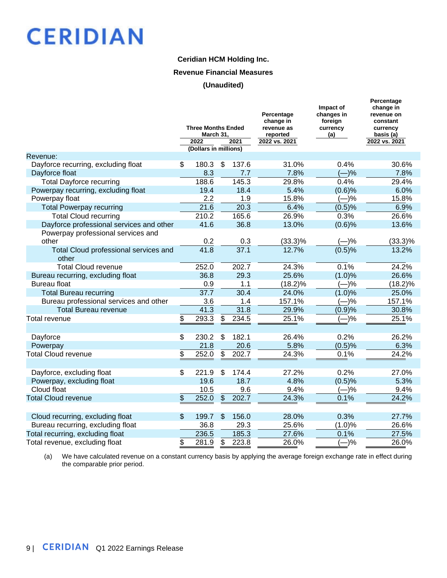### **Ceridian HCM Holding Inc.**

#### **Revenue Financial Measures**

#### **(Unaudited)**

|                                                | <b>Three Months Ended</b><br>March 31,<br>2022<br>(Dollars in millions) |                | 2021  | Percentage<br>change in<br>revenue as<br>reported<br>2022 vs. 2021 | Impact of<br>changes in<br>foreign<br>currency<br>(a) | Percentage<br>change in<br>revenue on<br>constant<br>currency<br>basis (a)<br>2022 vs. 2021 |
|------------------------------------------------|-------------------------------------------------------------------------|----------------|-------|--------------------------------------------------------------------|-------------------------------------------------------|---------------------------------------------------------------------------------------------|
| Revenue:                                       |                                                                         |                |       |                                                                    |                                                       |                                                                                             |
| Dayforce recurring, excluding float            | \$<br>180.3                                                             | $\mathfrak{S}$ | 137.6 | 31.0%                                                              | 0.4%                                                  | 30.6%                                                                                       |
| Dayforce float                                 | 8.3                                                                     |                | 7.7   | 7.8%                                                               | $(-)%$                                                | 7.8%                                                                                        |
| <b>Total Dayforce recurring</b>                | 188.6                                                                   |                | 145.3 | 29.8%                                                              | 0.4%                                                  | 29.4%                                                                                       |
| Powerpay recurring, excluding float            | 19.4                                                                    |                | 18.4  | 5.4%                                                               | (0.6)%                                                | 6.0%                                                                                        |
| Powerpay float                                 | 2.2                                                                     |                | 1.9   | 15.8%                                                              | $(-)%$                                                | 15.8%                                                                                       |
| <b>Total Powerpay recurring</b>                | 21.6                                                                    |                | 20.3  | 6.4%                                                               | (0.5)%                                                | 6.9%                                                                                        |
| <b>Total Cloud recurring</b>                   | 210.2                                                                   |                | 165.6 | 26.9%                                                              | 0.3%                                                  | 26.6%                                                                                       |
| Dayforce professional services and other       | 41.6                                                                    |                | 36.8  | 13.0%                                                              | $(0.6)$ %                                             | 13.6%                                                                                       |
| Powerpay professional services and             |                                                                         |                |       |                                                                    |                                                       |                                                                                             |
| other                                          | 0.2                                                                     |                | 0.3   | $(33.3)\%$                                                         | $(-)%$                                                | $(33.3)\%$                                                                                  |
| Total Cloud professional services and<br>other | 41.8                                                                    |                | 37.1  | 12.7%                                                              | (0.5)%                                                | 13.2%                                                                                       |
| <b>Total Cloud revenue</b>                     | 252.0                                                                   |                | 202.7 | 24.3%                                                              | 0.1%                                                  | 24.2%                                                                                       |
| Bureau recurring, excluding float              | 36.8                                                                    |                | 29.3  | 25.6%                                                              | (1.0)%                                                | 26.6%                                                                                       |
| <b>Bureau float</b>                            | 0.9                                                                     |                | 1.1   | (18.2)%                                                            | $(-)%$                                                | (18.2)%                                                                                     |
| <b>Total Bureau recurring</b>                  | 37.7                                                                    |                | 30.4  | 24.0%                                                              | (1.0)%                                                | 25.0%                                                                                       |
| Bureau professional services and other         | 3.6                                                                     |                | 1.4   | 157.1%                                                             | $(-)%$                                                | 157.1%                                                                                      |
| <b>Total Bureau revenue</b>                    | 41.3                                                                    |                | 31.8  | 29.9%                                                              | (0.9)%                                                | 30.8%                                                                                       |
| <b>Total revenue</b>                           | \$<br>293.3                                                             | \$             | 234.5 | 25.1%                                                              | (—)%                                                  | 25.1%                                                                                       |
|                                                |                                                                         |                |       |                                                                    |                                                       |                                                                                             |
| Dayforce                                       | \$<br>230.2                                                             | \$             | 182.1 | 26.4%                                                              | 0.2%                                                  | 26.2%                                                                                       |
| Powerpay                                       | 21.8                                                                    |                | 20.6  | 5.8%                                                               | (0.5)%                                                | 6.3%                                                                                        |
| <b>Total Cloud revenue</b>                     | \$<br>252.0                                                             | \$             | 202.7 | 24.3%                                                              | 0.1%                                                  | 24.2%                                                                                       |
|                                                |                                                                         |                |       |                                                                    |                                                       |                                                                                             |
| Dayforce, excluding float                      | \$<br>221.9                                                             | \$             | 174.4 | 27.2%                                                              | 0.2%                                                  | 27.0%                                                                                       |
| Powerpay, excluding float                      | 19.6                                                                    |                | 18.7  | 4.8%                                                               | (0.5)%                                                | 5.3%                                                                                        |
| Cloud float                                    | 10.5                                                                    |                | 9.6   | 9.4%                                                               | $(-)%$                                                | 9.4%                                                                                        |
| <b>Total Cloud revenue</b>                     | \$<br>252.0                                                             | $\frac{1}{2}$  | 202.7 | 24.3%                                                              | 0.1%                                                  | 24.2%                                                                                       |
|                                                |                                                                         |                |       |                                                                    |                                                       |                                                                                             |
| Cloud recurring, excluding float               | \$<br>199.7                                                             | \$             | 156.0 | 28.0%                                                              | 0.3%                                                  | 27.7%                                                                                       |
| Bureau recurring, excluding float              | 36.8                                                                    |                | 29.3  | 25.6%                                                              | (1.0)%                                                | 26.6%                                                                                       |
| Total recurring, excluding float               | 236.5                                                                   |                | 185.3 | 27.6%                                                              | 0.1%                                                  | 27.5%                                                                                       |
| Total revenue, excluding float                 | \$<br>281.9                                                             | \$             | 223.8 | 26.0%                                                              | $-$ )%                                                | 26.0%                                                                                       |
|                                                |                                                                         |                |       |                                                                    |                                                       |                                                                                             |

(a) We have calculated revenue on a constant currency basis by applying the average foreign exchange rate in effect during the comparable prior period.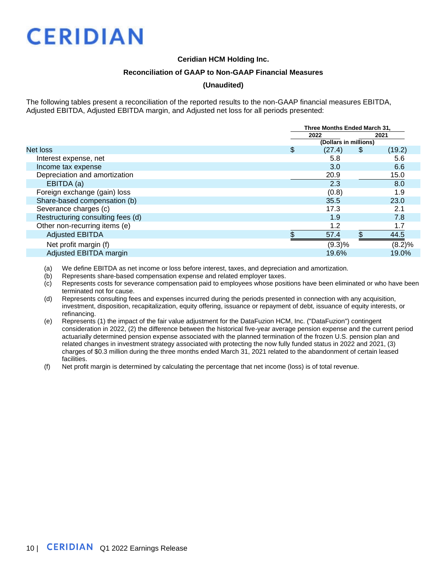### **Ceridian HCM Holding Inc.**

#### **Reconciliation of GAAP to Non-GAAP Financial Measures**

### **(Unaudited)**

The following tables present a reconciliation of the reported results to the non-GAAP financial measures EBITDA, Adjusted EBITDA, Adjusted EBITDA margin, and Adjusted net loss for all periods presented:

|                                   | Three Months Ended March 31. |    |        |  |  |  |
|-----------------------------------|------------------------------|----|--------|--|--|--|
|                                   | 2022                         |    | 2021   |  |  |  |
|                                   | (Dollars in millions)        |    |        |  |  |  |
| Net loss                          | \$<br>(27.4)                 | \$ | (19.2) |  |  |  |
| Interest expense, net             | 5.8                          |    | 5.6    |  |  |  |
| Income tax expense                | 3.0                          |    | 6.6    |  |  |  |
| Depreciation and amortization     | 20.9                         |    | 15.0   |  |  |  |
| EBITDA (a)                        | 2.3                          |    | 8.0    |  |  |  |
| Foreign exchange (gain) loss      | (0.8)                        |    | 1.9    |  |  |  |
| Share-based compensation (b)      | 35.5                         |    | 23.0   |  |  |  |
| Severance charges (c)             | 17.3                         |    | 2.1    |  |  |  |
| Restructuring consulting fees (d) | 1.9                          |    | 7.8    |  |  |  |
| Other non-recurring items (e)     | 1.2                          |    | 1.7    |  |  |  |
| <b>Adjusted EBITDA</b>            | 57.4                         |    | 44.5   |  |  |  |
| Net profit margin (f)             | $(9.3)\%$                    |    | (8.2)% |  |  |  |
| Adjusted EBITDA margin            | 19.6%                        |    | 19.0%  |  |  |  |

(a) We define EBITDA as net income or loss before interest, taxes, and depreciation and amortization.

(b) Represents share-based compensation expense and related employer taxes.

(c) Represents costs for severance compensation paid to employees whose positions have been eliminated or who have been terminated not for cause.

(d) Represents consulting fees and expenses incurred during the periods presented in connection with any acquisition, investment, disposition, recapitalization, equity offering, issuance or repayment of debt, issuance of equity interests, or refinancing.

(e) Represents (1) the impact of the fair value adjustment for the DataFuzion HCM, Inc. ("DataFuzion") contingent consideration in 2022, (2) the difference between the historical five-year average pension expense and the current period actuarially determined pension expense associated with the planned termination of the frozen U.S. pension plan and related changes in investment strategy associated with protecting the now fully funded status in 2022 and 2021, (3) charges of \$0.3 million during the three months ended March 31, 2021 related to the abandonment of certain leased facilities.

(f) Net profit margin is determined by calculating the percentage that net income (loss) is of total revenue.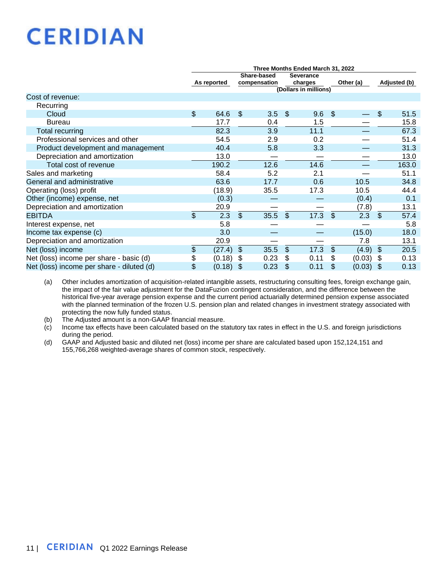|                                           | Three Months Ended March 31, 2022 |        |                             |      |                                                      |      |                |           |               |              |  |
|-------------------------------------------|-----------------------------------|--------|-----------------------------|------|------------------------------------------------------|------|----------------|-----------|---------------|--------------|--|
|                                           | As reported                       |        | Share-based<br>compensation |      | <b>Severance</b><br>charges<br>(Dollars in millions) |      |                | Other (a) |               | Adjusted (b) |  |
| Cost of revenue:                          |                                   |        |                             |      |                                                      |      |                |           |               |              |  |
| Recurring                                 |                                   |        |                             |      |                                                      |      |                |           |               |              |  |
| Cloud                                     | \$                                | 64.6   | $\mathfrak{F}$              | 3.5  | \$                                                   | 9.6  | \$             |           | \$            | 51.5         |  |
| <b>Bureau</b>                             |                                   | 17.7   |                             | 0.4  |                                                      | 1.5  |                |           |               | 15.8         |  |
| <b>Total recurring</b>                    |                                   | 82.3   |                             | 3.9  |                                                      | 11.1 |                |           |               | 67.3         |  |
| Professional services and other           |                                   | 54.5   |                             | 2.9  |                                                      | 0.2  |                |           |               | 51.4         |  |
| Product development and management        |                                   | 40.4   |                             | 5.8  |                                                      | 3.3  |                |           |               | 31.3         |  |
| Depreciation and amortization             |                                   | 13.0   |                             |      |                                                      |      |                |           |               | 13.0         |  |
| Total cost of revenue                     |                                   | 190.2  |                             | 12.6 |                                                      | 14.6 |                |           |               | 163.0        |  |
| Sales and marketing                       |                                   | 58.4   |                             | 5.2  |                                                      | 2.1  |                |           |               | 51.1         |  |
| General and administrative                |                                   | 63.6   |                             | 17.7 |                                                      | 0.6  |                | 10.5      |               | 34.8         |  |
| Operating (loss) profit                   |                                   | (18.9) |                             | 35.5 |                                                      | 17.3 |                | 10.5      |               | 44.4         |  |
| Other (income) expense, net               |                                   | (0.3)  |                             |      |                                                      |      |                | (0.4)     |               | 0.1          |  |
| Depreciation and amortization             |                                   | 20.9   |                             |      |                                                      |      |                | (7.8)     |               | 13.1         |  |
| <b>EBITDA</b>                             | \$                                | 2.3    | $\mathfrak{L}$              | 35.5 | $\mathfrak{L}$                                       | 17.3 | $\mathfrak{L}$ | 2.3       | \$            | 57.4         |  |
| Interest expense, net                     |                                   | 5.8    |                             |      |                                                      |      |                |           |               | 5.8          |  |
| Income tax expense (c)                    |                                   | 3.0    |                             |      |                                                      |      |                | (15.0)    |               | 18.0         |  |
| Depreciation and amortization             |                                   | 20.9   |                             |      |                                                      |      |                | 7.8       |               | 13.1         |  |
| Net (loss) income                         | \$                                | (27.4) | $\mathfrak{S}$              | 35.5 | \$                                                   | 17.3 | $\mathcal{S}$  | (4.9)     | $\mathcal{S}$ | 20.5         |  |
| Net (loss) income per share - basic (d)   | \$                                | (0.18) | -\$                         | 0.23 | \$                                                   | 0.11 | \$             | (0.03)    | \$            | 0.13         |  |
| Net (loss) income per share - diluted (d) | \$                                | (0.18) | $\sqrt[6]{\frac{1}{2}}$     | 0.23 | \$                                                   | 0.11 | \$             | (0.03)    | \$            | 0.13         |  |

(a) Other includes amortization of acquisition-related intangible assets, restructuring consulting fees, foreign exchange gain, the impact of the fair value adjustment for the DataFuzion contingent consideration, and the difference between the historical five-year average pension expense and the current period actuarially determined pension expense associated with the planned termination of the frozen U.S. pension plan and related changes in investment strategy associated with protecting the now fully funded status.

(b) The Adjusted amount is a non-GAAP financial measure.

(c) Income tax effects have been calculated based on the statutory tax rates in effect in the U.S. and foreign jurisdictions during the period.

(d) GAAP and Adjusted basic and diluted net (loss) income per share are calculated based upon 152,124,151 and 155,766,268 weighted-average shares of common stock, respectively.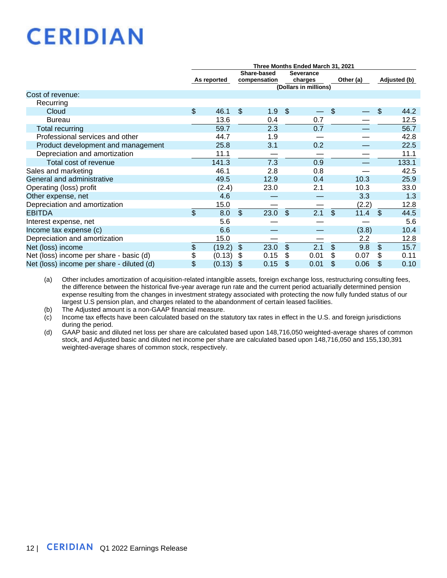|                                           | Three Months Ended March 31, 2021 |             |                |              |                |                       |                        |                |              |  |  |
|-------------------------------------------|-----------------------------------|-------------|----------------|--------------|----------------|-----------------------|------------------------|----------------|--------------|--|--|
|                                           | Share-based<br><b>Severance</b>   |             |                |              |                |                       |                        |                |              |  |  |
|                                           |                                   | As reported |                | compensation |                | charges               | Other (a)              |                | Adjusted (b) |  |  |
|                                           |                                   |             |                |              |                | (Dollars in millions) |                        |                |              |  |  |
| Cost of revenue:                          |                                   |             |                |              |                |                       |                        |                |              |  |  |
| Recurring                                 |                                   |             |                |              |                |                       |                        |                |              |  |  |
| Cloud                                     | \$                                | 46.1        | $\mathcal{S}$  | 1.9          | -\$            |                       | \$                     | \$             | 44.2         |  |  |
| <b>Bureau</b>                             |                                   | 13.6        |                | 0.4          |                | 0.7                   |                        |                | 12.5         |  |  |
| Total recurring                           |                                   | 59.7        |                | 2.3          |                | 0.7                   |                        |                | 56.7         |  |  |
| Professional services and other           |                                   | 44.7        |                | 1.9          |                |                       |                        |                | 42.8         |  |  |
| Product development and management        |                                   | 25.8        |                | 3.1          |                | 0.2                   |                        |                | 22.5         |  |  |
| Depreciation and amortization             |                                   | 11.1        |                |              |                |                       |                        |                | 11.1         |  |  |
| Total cost of revenue                     |                                   | 141.3       |                | 7.3          |                | 0.9                   |                        |                | 133.1        |  |  |
| Sales and marketing                       |                                   | 46.1        |                | 2.8          |                | 0.8                   |                        |                | 42.5         |  |  |
| General and administrative                |                                   | 49.5        |                | 12.9         |                | 0.4                   | 10.3                   |                | 25.9         |  |  |
| Operating (loss) profit                   |                                   | (2.4)       |                | 23.0         |                | 2.1                   | 10.3                   |                | 33.0         |  |  |
| Other expense, net                        |                                   | 4.6         |                |              |                |                       | 3.3                    |                | 1.3          |  |  |
| Depreciation and amortization             |                                   | 15.0        |                |              |                |                       | (2.2)                  |                | 12.8         |  |  |
| <b>EBITDA</b>                             | \$                                | 8.0         | $\mathfrak{L}$ | 23.0         | $\mathfrak{L}$ | $\overline{2.1}$      | $\mathfrak{S}$<br>11.4 | \$             | 44.5         |  |  |
| Interest expense, net                     |                                   | 5.6         |                |              |                |                       |                        |                | 5.6          |  |  |
| Income tax expense (c)                    |                                   | 6.6         |                |              |                |                       | (3.8)                  |                | 10.4         |  |  |
| Depreciation and amortization             |                                   | 15.0        |                |              |                |                       | 2.2                    |                | 12.8         |  |  |
| Net (loss) income                         | \$                                | (19.2)      | $\sqrt[6]{3}$  | 23.0         | \$             | 2.1                   | $\mathfrak{L}$<br>9.8  | $\mathfrak{L}$ | 15.7         |  |  |
| Net (loss) income per share - basic (d)   | \$                                | (0.13)      | - \$           | 0.15         | \$             | 0.01                  | 0.07<br>\$             | \$.            | 0.11         |  |  |
| Net (loss) income per share - diluted (d) | \$                                | (0.13)      | -\$            | 0.15         | \$             | 0.01                  | 0.06<br>\$             | \$             | 0.10         |  |  |

(a) Other includes amortization of acquisition-related intangible assets, foreign exchange loss, restructuring consulting fees, the difference between the historical five-year average run rate and the current period actuarially determined pension expense resulting from the changes in investment strategy associated with protecting the now fully funded status of our largest U.S pension plan, and charges related to the abandonment of certain leased facilities.

(b) The Adjusted amount is a non-GAAP financial measure.

(c) Income tax effects have been calculated based on the statutory tax rates in effect in the U.S. and foreign jurisdictions during the period.

(d) GAAP basic and diluted net loss per share are calculated based upon 148,716,050 weighted-average shares of common stock, and Adjusted basic and diluted net income per share are calculated based upon 148,716,050 and 155,130,391 weighted-average shares of common stock, respectively.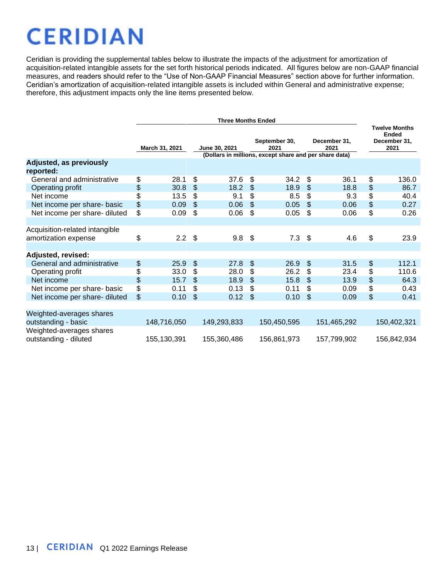Ceridian is providing the supplemental tables below to illustrate the impacts of the adjustment for amortization of acquisition-related intangible assets for the set forth historical periods indicated. All figures below are non-GAAP financial measures, and readers should refer to the "Use of Non-GAAP Financial Measures" section above for further information. Ceridian's amortization of acquisition-related intangible assets is included within General and administrative expense; therefore, this adjustment impacts only the line items presented below.

|                                                        | March 31, 2021           |             | September 30,<br>December 31,<br>June 30, 2021<br>2021<br>2021<br>(Dollars in millions, except share and per share data) |             |                |             |               |             |    | <b>Twelve Months</b><br><b>Ended</b><br>December 31,<br>2021 |  |  |
|--------------------------------------------------------|--------------------------|-------------|--------------------------------------------------------------------------------------------------------------------------|-------------|----------------|-------------|---------------|-------------|----|--------------------------------------------------------------|--|--|
| <b>Adjusted, as previously</b><br>reported:            |                          |             |                                                                                                                          |             |                |             |               |             |    |                                                              |  |  |
| General and administrative                             | \$                       | 28.1        | \$                                                                                                                       | 37.6        | \$             | 34.2        | \$            | 36.1        | \$ | 136.0                                                        |  |  |
| Operating profit                                       | \$                       | 30.8        | \$                                                                                                                       | 18.2        | \$             | 18.9        | \$            | 18.8        | \$ | 86.7                                                         |  |  |
| Net income                                             | \$                       | 13.5        | \$                                                                                                                       | 9.1         | \$             | 8.5         | \$            | 9.3         | \$ | 40.4                                                         |  |  |
| Net income per share- basic                            | \$                       | 0.09        | \$                                                                                                                       | 0.06        | $\mathfrak{S}$ | 0.05        | $\mathcal{S}$ | 0.06        | \$ | 0.27                                                         |  |  |
| Net income per share- diluted                          | \$                       | 0.09        | \$                                                                                                                       | 0.06        | \$             | 0.05        | \$            | 0.06        | \$ | 0.26                                                         |  |  |
|                                                        |                          |             |                                                                                                                          |             |                |             |               |             |    |                                                              |  |  |
| Acquisition-related intangible<br>amortization expense | \$                       | $2.2 \quad$ |                                                                                                                          | 9.8         | -\$            | $7.3$ \$    |               | 4.6         | \$ | 23.9                                                         |  |  |
|                                                        |                          |             |                                                                                                                          |             |                |             |               |             |    |                                                              |  |  |
| Adjusted, revised:                                     |                          |             |                                                                                                                          |             |                |             |               |             |    |                                                              |  |  |
| General and administrative                             | \$                       | 25.9        | \$                                                                                                                       | 27.8        | $\frac{1}{2}$  | 26.9        | $\mathcal{S}$ | 31.5        | \$ | 112.1                                                        |  |  |
| Operating profit                                       | \$                       | 33.0        | \$                                                                                                                       | 28.0        | \$             | 26.2        | \$            | 23.4        | \$ | 110.6                                                        |  |  |
| Net income                                             | \$                       | 15.7        | \$                                                                                                                       | 18.9        | \$             | 15.8        | \$            | 13.9        | \$ | 64.3                                                         |  |  |
| Net income per share- basic                            | $\overline{\mathcal{L}}$ | 0.11        | \$                                                                                                                       | 0.13        | \$             | 0.11        | \$            | 0.09        | \$ | 0.43                                                         |  |  |
| Net income per share- diluted                          | \$                       | 0.10        | \$                                                                                                                       | 0.12        | $\mathfrak{S}$ | 0.10        | \$            | 0.09        | \$ | 0.41                                                         |  |  |
|                                                        |                          |             |                                                                                                                          |             |                |             |               |             |    |                                                              |  |  |
| Weighted-averages shares<br>outstanding - basic        |                          | 148,716,050 |                                                                                                                          | 149,293,833 |                | 150,450,595 |               | 151,465,292 |    | 150,402,321                                                  |  |  |
| Weighted-averages shares<br>outstanding - diluted      |                          | 155,130,391 |                                                                                                                          | 155,360,486 |                | 156,861,973 |               | 157,799,902 |    | 156,842,934                                                  |  |  |